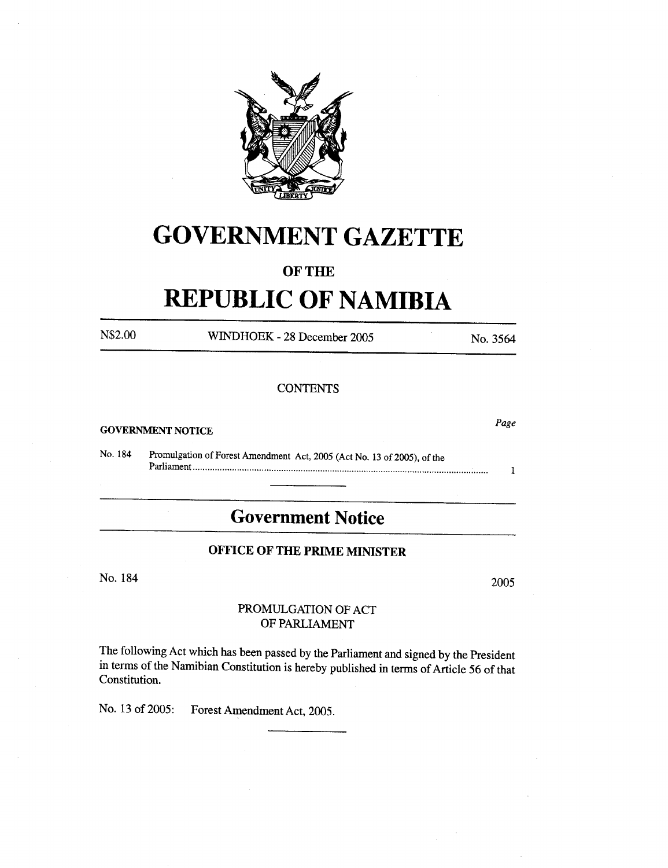

# **GOVERNMENT GAZETTE**

## OF THE

# **REPUBLIC OF NAMIBIA**

N\$2.00 WINDHOEK - <sup>28</sup> December <sup>2005</sup> No. 3564

Page

 $\mathbf{1}$ 

## **CONTENTS**

#### **GOVERNMENT NOTICE**

No. 184 Promulgation of Forest Amendment Act, 2005 (Act No. 13 of 2005). of the Parliament .

# **Government Notice**

## **OFFICE OF THE PRIME MINISTER**

No. 184 2005

### PROMULGATION OF ACT OF PARLIAMENT

The following Act which has been passed by the Parliament and signed by the President in terms of the Namibian Constitution is hereby published in terms of Article 56 of that Constitution.

No. 13 of 2005: Forest Amendment Act, 2005.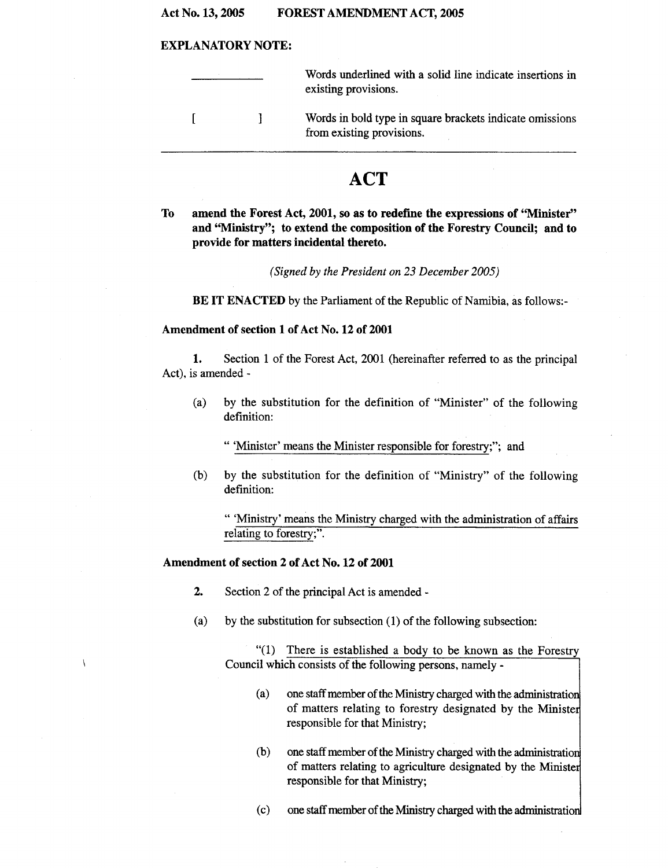#### Act No. 13, 2005 FOREST AMENDMENT ACT, 2005

#### EXPLANATORY NOTE:

|  | Words underlined with a solid line indicate insertions in<br>existing provisions.     |
|--|---------------------------------------------------------------------------------------|
|  | Words in bold type in square brackets indicate omissions<br>from existing provisions. |
|  |                                                                                       |

## **ACT**

To amend the Forest Act, 2001, so as to rederme the expressions of "Minister" and "Ministry"; to extend the composition of the Forestry Council; and to provide for matters incidental thereto.

*(Signed by the President on* 23 *December 2005)*

BE IT ENACTED by the Parliament of the Republic of Namibia, as follows:-

#### Amendment of section 1 of Act No. 12 of 2001

1. Section 1 of the Forest Act, 2001 (hereinafter referred to as the principal Act), is amended -

- (a) by the substitution for the definition of "Minister" of the following definition:
	- " 'Minister' means the Minister responsible for forestry;"; and
- (b) by the substitution for the definition of "Ministry" of the following definition:

" 'Ministry' means the Ministry charged with the administration of affairs relating to forestry;".

### Amendment of section 2 of Act No. 12 of 2001

 $\overline{\phantom{a}}$ 

- 2. Section <sup>2</sup> of the principal Act is amended -
- (a) by the substitution for subsection  $(1)$  of the following subsection:

"(1) There is established a body to be known as the Forestry Council which consists of the following persons, namely -

- (a) one staff member of the Ministry charged with the administration of matters relating to forestry designated by the Ministe responsible for that Ministry;
- $(b)$  one staff member of the Ministry charged with the administration of matters relating to agriculture designated by the Ministe responsible for that Ministry;
- (c) one staff member of the Ministry charged with the administratio